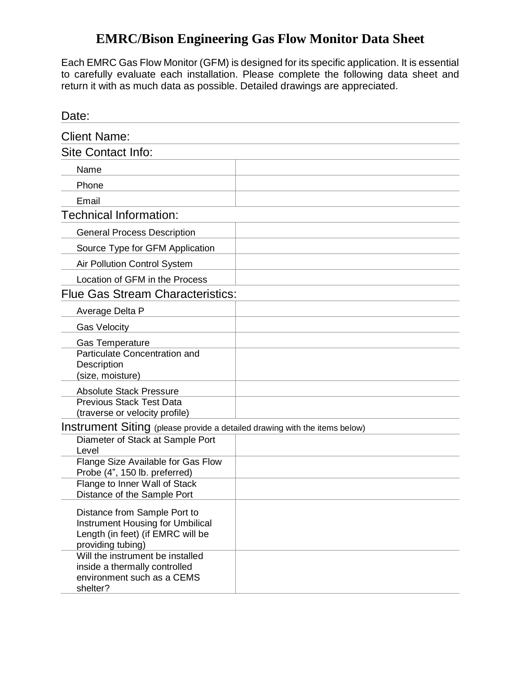## **EMRC/Bison Engineering Gas Flow Monitor Data Sheet**

Each EMRC Gas Flow Monitor (GFM) is designed for its specific application. It is essential to carefully evaluate each installation. Please complete the following data sheet and return it with as much data as possible. Detailed drawings are appreciated.

| Date:                                                                                                                      |  |
|----------------------------------------------------------------------------------------------------------------------------|--|
| <b>Client Name:</b>                                                                                                        |  |
| Site Contact Info:                                                                                                         |  |
| Name                                                                                                                       |  |
| Phone                                                                                                                      |  |
| Email                                                                                                                      |  |
| <b>Technical Information:</b>                                                                                              |  |
| <b>General Process Description</b>                                                                                         |  |
| Source Type for GFM Application                                                                                            |  |
| Air Pollution Control System                                                                                               |  |
| Location of GFM in the Process                                                                                             |  |
| <b>Flue Gas Stream Characteristics:</b>                                                                                    |  |
| Average Delta P                                                                                                            |  |
| <b>Gas Velocity</b>                                                                                                        |  |
| <b>Gas Temperature</b><br>Particulate Concentration and<br>Description<br>(size, moisture)                                 |  |
| <b>Absolute Stack Pressure</b>                                                                                             |  |
| <b>Previous Stack Test Data</b><br>(traverse or velocity profile)                                                          |  |
| Instrument Siting (please provide a detailed drawing with the items below)                                                 |  |
| Diameter of Stack at Sample Port<br>Level                                                                                  |  |
| Flange Size Available for Gas Flow<br>Probe (4", 150 lb. preferred)                                                        |  |
| Flange to Inner Wall of Stack<br>Distance of the Sample Port                                                               |  |
| Distance from Sample Port to<br>Instrument Housing for Umbilical<br>Length (in feet) (if EMRC will be<br>providing tubing) |  |
| Will the instrument be installed<br>inside a thermally controlled<br>environment such as a CEMS<br>shelter?                |  |